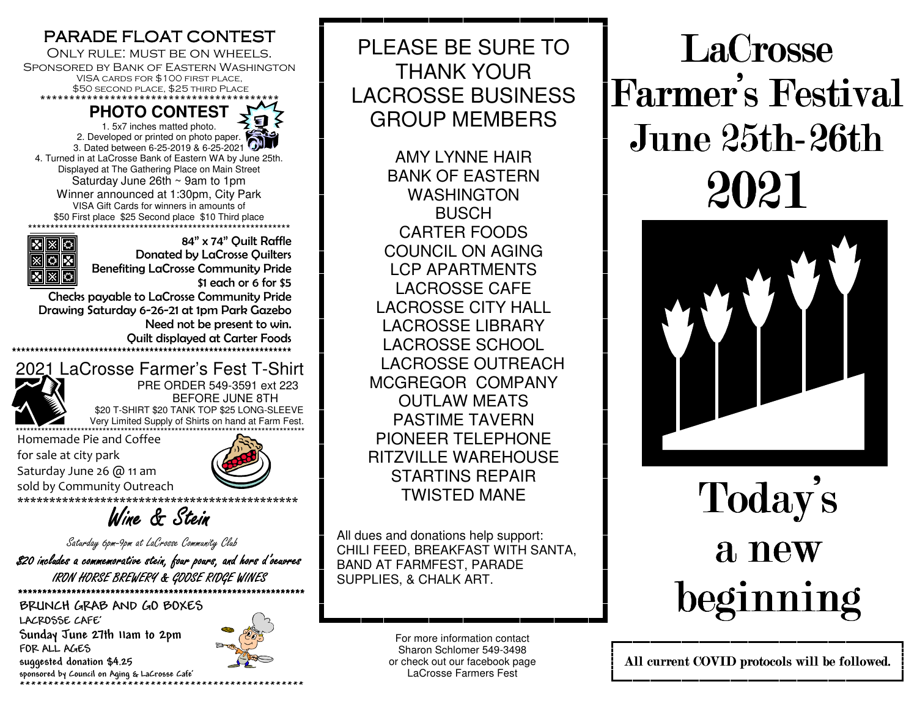#### PARADE FLOAT CONTEST

 Only rule: must be on wheels. Sponsored by Bank of Eastern Washington VISA cards for \$100 first place, \$50 second place, \$25 third Place \*\*\*\*\*\*\*\*\*\*\*\*\*\*\*\*\*\*\*\*\*\*\*\*\*\*\*\*\*\*\*\*\*\*\*\*\*\*\*\*\*

**PHOTO CONTEST** 1. 5x7 inches matted photo. 2. Developed or printed on photo paper. 3. Dated between 6-25-2019 & 6-25-2021 4. Turned in at LaCrosse Bank of Eastern WA by June 25th. Displayed at The Gathering Place on Main Street Saturday June 26th ~ 9am to 1pm Winner announced at 1:30pm, City Park VISA Gift Cards for winners in amounts of \$50 First place \$25 Second place \$10 Third place \*\*\*\*\*\*\*\*\*\*\*\*\*\*\*\*\*\*\*\*\*\*\*\*\*\*\*\*\*\*\*\*\*\*\*\*\*\*\*\*\*\*\*\*\*\*\*\*\*\*\*\*\*\*\*\*\*\*\*



 84" x 74" Quilt Raffle Donated by LaCrosse Quilters Benefiting LaCrosse Community Pride \$1 each or 6 for \$5

 Checks payable to LaCrosse Community Pride Drawing Saturday 6-26-21 at 1pm Park Gazebo Need not be present to win. Quilt displayed at Carter Foods \*\*\*\*\*\*\*\*\*\*\*\*\*\*\*\*\*\*\*\*\*\*\*\*\*\*\*\*\*\*\*\*\*\*\*\*\*\*\*\*\*\*\*\*\*\*\*\*\*\*\*\*\*\*\*\*\*\*\*\*\*



 2021 LaCrosse Farmer's Fest T-Shirt PRE ORDER 549-3591 ext 223 BEFORE JUNE 8TH  $\mathcal{L}$   $\mathcal{L}$   $\mathcal{L}$   $\mathcal{L}$   $\mathcal{L}$   $\mathcal{L}$   $\mathcal{L}$   $\mathcal{L}$   $\mathcal{L}$   $\mathcal{L}$   $\mathcal{L}$   $\mathcal{L}$   $\mathcal{L}$   $\mathcal{L}$   $\mathcal{L}$   $\mathcal{L}$   $\mathcal{L}$   $\mathcal{L}$   $\mathcal{L}$   $\mathcal{L}$   $\mathcal{L}$   $\mathcal{L}$   $\mathcal{L}$   $\mathcal{L}$   $\mathcal{$ **Very Limited Supply of Shirts on hand at Farm Fest.** 

Homemade Pie and Coffee \*\*\*\*\*\*\*\*\*\*\*\*\*\*\*\*\*\*\*\*\*\*\*\*\*\*\*\*\*\*\*\*\*\*\*\*\*\*\*\*\*\*\*\*\*\*\*\*\*\*\*\*\*\*\*\*\*\*\*\*\*\*\*\*\*\*\*\*\*\*\*\*\*\*\*\*\*\*\*\* for sale at city park Saturday June 26 @ 11 am sold by Community Outreach



\*\*\*\*\*\*\*\*\*\*\*\*\*\*\*\*\*\*\*\*\*\*\*\*\*\*\*\*\*\*\*\*\*\*\*\*\*\*\*\*\*\*\*\*

Wine & Stein

Saturday 6pm-9pm at LaCrosse Community Club

\$20 includes a commemorative stein, four pours, and hors d'oeuvres IRON HORSE BREWERY & GOOSE RIDGE WINES \*\*\*\*\*\*\*\*\*\*\*\*\*\*\*\*\*\*\*\*\*\*\*\*\*\*\*\*\*\*\*\*\*\*\*\*\*\*\*\*\*\*\*\*\*\*\*\*\*\*\*\*\*\*\*\*\*\*\*

**BRUNCH GRAB AND GO BOXES LACROSSE CAFE' Sunday June 27th 11am to 2pm FOR ALL AGES suggested donation \$4.25 sponsored by Council on Aging & LaCrosse Cafe' \*\*\*\*\*\*\*\*\*\*\*\*\*\*\*\*\*\*\*\*\*\*\*\*\*\*\*\*\*\*\*\*\*\*\*\*\*\*\*\*\*\*\*\*\*\*\*\*\*\*** 



PLEASE BE SURE TO THANK YOUR LACROSSE BUSINESS GROUP MEMBERS

AMY LYNNE HAIR BANK OF EASTERN WASHINGTON **BUSCH**  CARTER FOODS COUNCIL ON AGING LCP APARTMENTS LACROSSE CAFE LACROSSE CITY HALL LACROSSE LIBRARY LACROSSE SCHOOL LACROSSE OUTREACH MCGREGOR COMPANYOUTLAW MEATS PASTIME TAVERN PIONEER TELEPHONE RITZVILLE WAREHOUSE STARTINS REPAIR TWISTED MANE

All dues and donations help support: CHILI FEED, BREAKFAST WITH SANTA, BAND AT FARMFEST, PARADE SUPPLIES, & CHALK ART.

> For more information contact Sharon Schlomer 549-3498 or check out our facebook page LaCrosse Farmers Fest

LaCrosse Farmer's Festival June 25th- June 25th-26th 2021



Today's a new beginning beginning

All current COVID protocols will be followed. All current COVID protocols be followed.